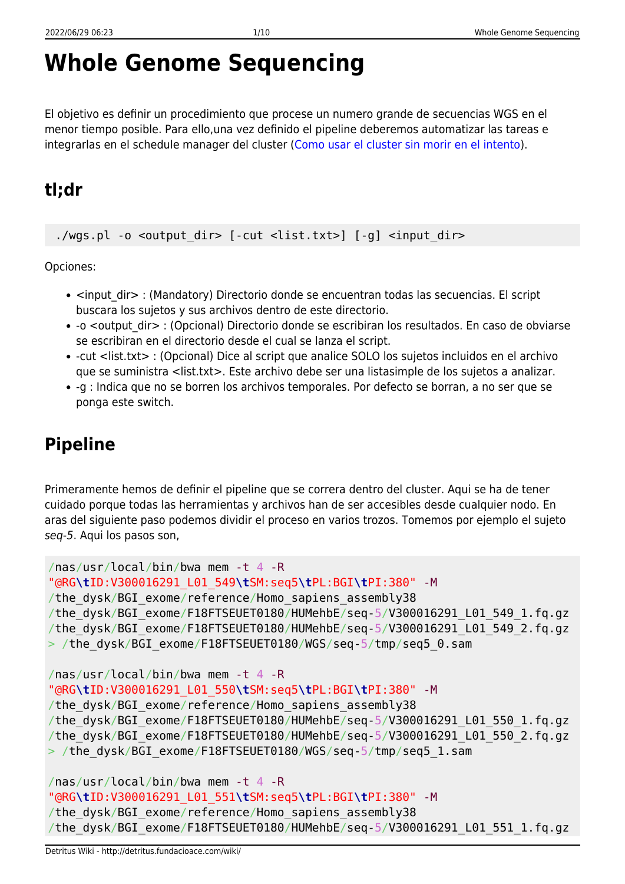# **Whole Genome Sequencing**

El objetivo es definir un procedimiento que procese un numero grande de secuencias WGS en el menor tiempo posible. Para ello,una vez definido el pipeline deberemos automatizar las tareas e integrarlas en el schedule manager del cluster ([Como usar el cluster sin morir en el intento\)](http://detritus.fundacioace.com/wiki/doku.php?id=cluster).

# **tl;dr**

./wgs.pl -o <output dir> [-cut <list.txt>] [-g] <input dir>

Opciones:

- <input dir> : (Mandatory) Directorio donde se encuentran todas las secuencias. El script buscara los sujetos y sus archivos dentro de este directorio.
- -o <output dir> : (Opcional) Directorio donde se escribiran los resultados. En caso de obviarse se escribiran en el directorio desde el cual se lanza el script.
- -cut <list.txt> : (Opcional) Dice al script que analice SOLO los sujetos incluidos en el archivo que se suministra <list.txt>. Este archivo debe ser una listasimple de los sujetos a analizar.
- -g : Indica que no se borren los archivos temporales. Por defecto se borran, a no ser que se ponga este switch.

# **Pipeline**

Primeramente hemos de definir el pipeline que se correra dentro del cluster. Aqui se ha de tener cuidado porque todas las herramientas y archivos han de ser accesibles desde cualquier nodo. En aras del siguiente paso podemos dividir el proceso en varios trozos. Tomemos por ejemplo el sujeto seq-5. Aqui los pasos son,

```
/nas/usr/local/bin/bwa mem -t 4 -R
"@RG\tID:V300016291_L01_549\tSM:seq5\tPL:BGI\tPI:380" -M
/the_dysk/BGI_exome/reference/Homo_sapiens_assembly38
/the_dysk/BGI_exome/F18FTSEUET0180/HUMehbE/seq-5/V300016291_L01_549_1.fq.gz
/the_dysk/BGI_exome/F18FTSEUET0180/HUMehbE/seq-5/V300016291_L01_549_2.fq.gz
> /the dysk/BGI exome/F18FTSEUET0180/WGS/seq-5/tmp/seq5 0.sam
/nas/usr/local/bin/bwa mem -t 4 -R
"@RG\tID:V300016291_L01_550\tSM:seq5\tPL:BGI\tPI:380" -M
/the_dysk/BGI_exome/reference/Homo_sapiens_assembly38
/the_dysk/BGI_exome/F18FTSEUET0180/HUMehbE/seq-5/V300016291_L01_550_1.fq.gz
/the_dysk/BGI_exome/F18FTSEUET0180/HUMehbE/seq-5/V300016291_L01_550_2.fq.gz
> /the_dysk/BGI_exome/F18FTSEUET0180/WGS/seq-5/tmp/seq5_1.sam
/nas/usr/local/bin/bwa mem -t 4 -R
```

```
"@RG\tID:V300016291_L01_551\tSM:seq5\tPL:BGI\tPI:380" -M
```

```
/the dysk/BGI exome/reference/Homo sapiens assembly38
```

```
/the dysk/BGI exome/F18FTSEUET0180/HUMehbE/seq-5/V300016291 L01 551 1.fq.gz
```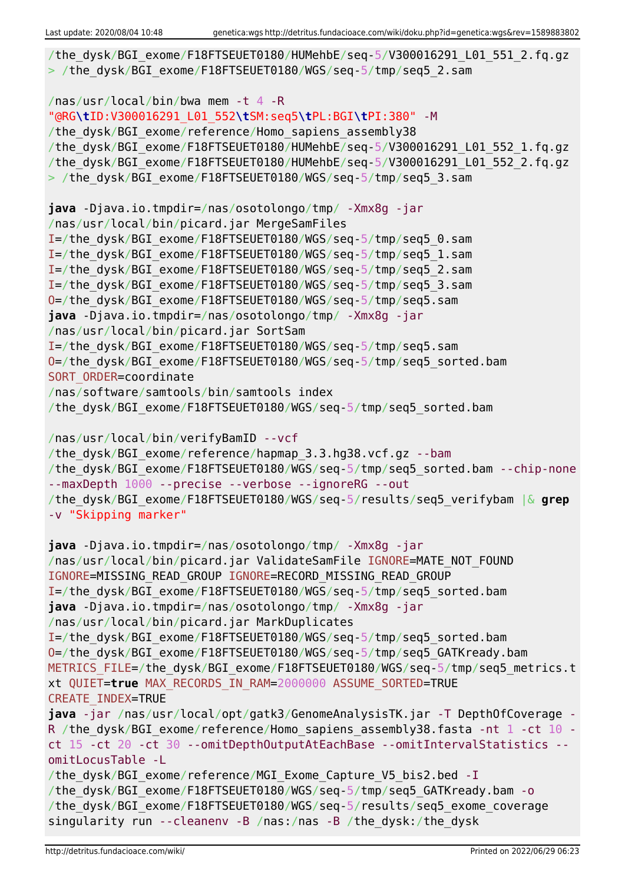```
/the dysk/BGI exome/F18FTSEUET0180/HUMehbE/seq-5/V300016291 L01 551 2.fq.gz
> /the dysk/BGI exome/F18FTSEUET0180/WGS/seq-5/tmp/seq5_2.sam
/nas/usr/local/bin/bwa mem -t 4 -R
"@RG\tID:V300016291_L01_552\tSM:seq5\tPL:BGI\tPI:380" -M
/the dysk/BGI exome/reference/Homo sapiens assembly38
/the_dysk/BGI_exome/F18FTSEUET0180/HUMehbE/seq-5/V300016291_L01_552_1.fq.gz
/the_dysk/BGI_exome/F18FTSEUET0180/HUMehbE/seq-5/V300016291_L01_552_2.fq.gz
> /the dysk/BGI exome/F18FTSEUET0180/WGS/seq-5/tmp/seq5 3.sam
java -Djava.io.tmpdir=/nas/osotolongo/tmp/ -Xmx8g -jar
/nas/usr/local/bin/picard.jar MergeSamFiles
I=/the_dysk/BGI_exome/F18FTSEUET0180/WGS/seq-5/tmp/seq5_0.sam
I=/the_dysk/BGI_exome/F18FTSEUET0180/WGS/seq-5/tmp/seq5_1.sam
I=/the_dysk/BGI_exome/F18FTSEUET0180/WGS/seq-5/tmp/seq5_2.sam
I=/the_dysk/BGI_exome/F18FTSEUET0180/WGS/seq-5/tmp/seq5_3.sam
O=/the_dysk/BGI_exome/F18FTSEUET0180/WGS/seq-5/tmp/seq5.sam
java -Djava.io.tmpdir=/nas/osotolongo/tmp/ -Xmx8g -jar
/nas/usr/local/bin/picard.jar SortSam
I=/the_dysk/BGI_exome/F18FTSEUET0180/WGS/seq-5/tmp/seq5.sam
O=/the_dysk/BGI_exome/F18FTSEUET0180/WGS/seq-5/tmp/seq5_sorted.bam
SORT ORDER=coordinate
/nas/software/samtools/bin/samtools index
/the_dysk/BGI_exome/F18FTSEUET0180/WGS/seq-5/tmp/seq5_sorted.bam
/nas/usr/local/bin/verifyBamID --vcf
/the dysk/BGI exome/reference/hapmap 3.3.hg38.vcf.gz --bam
/the dysk/BGI exome/F18FTSEUET0180/WGS/seq-5/tmp/seq5 sorted.bam --chip-none
--maxDepth 1000 --precise --verbose --ignoreRG --out
/the_dysk/BGI_exome/F18FTSEUET0180/WGS/seq-5/results/seq5_verifybam |& grep
-v "Skipping marker"
java -Djava.io.tmpdir=/nas/osotolongo/tmp/ -Xmx8g -jar
/nas/usr/local/bin/picard.jar ValidateSamFile IGNORE=MATE_NOT_FOUND
IGNORE=MISSING_READ_GROUP IGNORE=RECORD_MISSING_READ_GROUP
I=/the_dysk/BGI_exome/F18FTSEUET0180/WGS/seq-5/tmp/seq5_sorted.bam
java -Djava.io.tmpdir=/nas/osotolongo/tmp/ -Xmx8g -jar
/nas/usr/local/bin/picard.jar MarkDuplicates
I=/the_dysk/BGI_exome/F18FTSEUET0180/WGS/seq-5/tmp/seq5_sorted.bam
O=/the_dysk/BGI_exome/F18FTSEUET0180/WGS/seq-5/tmp/seq5_GATKready.bam
METRICS FILE=/the dysk/BGI exome/F18FTSEUET0180/WGS/seq-5/tmp/seq5 metrics.t
xt QUIET=true MAX_RECORDS_IN_RAM=2000000 ASSUME_SORTED=TRUE
CREATE_INDEX=TRUE
java -jar /nas/usr/local/opt/gatk3/GenomeAnalysisTK.jar -T DepthOfCoverage -
R /the dysk/BGI exome/reference/Homo sapiens assembly38.fasta -nt 1 -ct 10 -
ct 15 -ct 20 -ct 30 --omitDepthOutputAtEachBase --omitIntervalStatistics --
omitLocusTable -L
/the dysk/BGI exome/reference/MGI Exome Capture V5 bis2.bed -I
/the_dysk/BGI_exome/F18FTSEUET0180/WGS/seq-5/tmp/seq5_GATKready.bam -o
/the_dysk/BGI_exome/F18FTSEUET0180/WGS/seq-5/results/seq5_exome_coverage
singularity run --cleanenv -B /nas:/nas -B /the_dysk:/the_dysk
```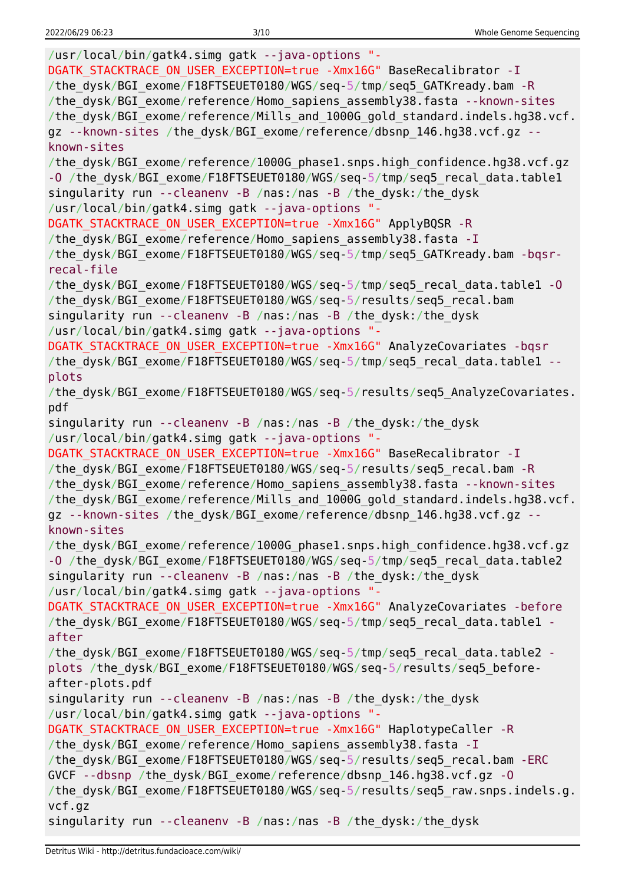| /usr/local/bin/gatk4.simg gatk --java-options "-<br>DGATK STACKTRACE ON USER EXCEPTION=true -Xmx16G" BaseRecalibrator - I                                                                                                           |
|-------------------------------------------------------------------------------------------------------------------------------------------------------------------------------------------------------------------------------------|
| /the dysk/BGI exome/F18FTSEUET0180/WGS/seq-5/tmp/seq5 GATKready.bam -R<br>/the_dysk/BGI_exome/reference/Homo_sapiens_assembly38.fasta --known-sites<br>/the_dysk/BGI_exome/reference/Mills_and_1000G_gold_standard.indels.hg38.vcf. |
| gz --known-sites /the_dysk/BGI_exome/reference/dbsnp_146.hg38.vcf.gz --<br>known-sites                                                                                                                                              |
| /the_dysk/BGI_exome/reference/1000G_phase1.snps.high_confidence.hg38.vcf.gz                                                                                                                                                         |
| -0 /the_dysk/BGI_exome/F18FTSEUET0180/WGS/seq-5/tmp/seq5_recal_data.table1                                                                                                                                                          |
| singularity run --cleanenv -B /nas:/nas -B /the_dysk:/the_dysk<br>/usr/local/bin/gatk4.simg gatk --java-options "-                                                                                                                  |
| DGATK STACKTRACE ON USER EXCEPTION=true -Xmx16G" ApplyBQSR -R                                                                                                                                                                       |
| /the_dysk/BGI_exome/reference/Homo_sapiens_assembly38.fasta -I                                                                                                                                                                      |
| /the_dysk/BGI_exome/F18FTSEUET0180/WGS/seq-5/tmp/seq5_GATKready.bam -bqsr-                                                                                                                                                          |
| recal-file                                                                                                                                                                                                                          |
| /the_dysk/BGI_exome/F18FTSEUET0180/WGS/seq-5/tmp/seq5_recal_data.table1 -0<br>/the_dysk/BGI_exome/F18FTSEUET0180/WGS/seq-5/results/seq5 recal.bam                                                                                   |
| singularity run --cleanenv -B /nas:/nas -B /the dysk:/the dysk                                                                                                                                                                      |
| /usr/local/bin/gatk4.simg gatk --java-options "-                                                                                                                                                                                    |
| DGATK_STACKTRACE_ON_USER_EXCEPTION=true -Xmx16G" AnalyzeCovariates -bqsr                                                                                                                                                            |
| /the_dysk/BGI_exome/F18FTSEUET0180/WGS/seq-5/tmp/seq5_recal_data.table1 --                                                                                                                                                          |
| plots                                                                                                                                                                                                                               |
| /the_dysk/BGI_exome/F18FTSEUET0180/WGS/seq-5/results/seq5_AnalyzeCovariates.<br>pdf                                                                                                                                                 |
| singularity run --cleanenv -B /nas:/nas -B /the_dysk:/the_dysk                                                                                                                                                                      |
| /usr/local/bin/gatk4.simg gatk --java-options "-                                                                                                                                                                                    |
| DGATK STACKTRACE ON USER EXCEPTION=true -Xmx16G" BaseRecalibrator - I                                                                                                                                                               |
| /the_dysk/BGI_exome/F18FTSEUET0180/WGS/seq-5/results/seq5_recal.bam -R                                                                                                                                                              |
| /the_dysk/BGI_exome/reference/Homo_sapiens_assembly38.fasta --known-sites                                                                                                                                                           |
| /the_dysk/BGI_exome/reference/Mills_and_1000G_gold_standard.indels.hg38.vcf.                                                                                                                                                        |
| gz --known-sites /the_dysk/BGI_exome/reference/dbsnp_146.hg38.vcf.gz --                                                                                                                                                             |
| known-sites                                                                                                                                                                                                                         |
| /the_dysk/BGI_exome/reference/1000G_phase1.snps.high_confidence.hg38.vcf.gz                                                                                                                                                         |
| -0 /the_dysk/BGI_exome/F18FTSEUET0180/WGS/seq-5/tmp/seq5_recal_data.table2                                                                                                                                                          |
| singularity run --cleanenv -B /nas:/nas -B /the_dysk:/the_dysk                                                                                                                                                                      |
| /usr/local/bin/gatk4.simg gatk --java-options "-                                                                                                                                                                                    |
| DGATK_STACKTRACE_ON_USER_EXCEPTION=true -Xmx16G" AnalyzeCovariates -before                                                                                                                                                          |
| /the_dysk/BGI_exome/F18FTSEUET0180/WGS/seq-5/tmp/seq5_recal_data.table1 -<br>after                                                                                                                                                  |
| /the dysk/BGI exome/F18FTSEUET0180/WGS/seq-5/tmp/seq5 recal data.table2 -                                                                                                                                                           |
| plots /the_dysk/BGI_exome/F18FTSEUET0180/WGS/seq-5/results/seq5_before-                                                                                                                                                             |
| after-plots.pdf                                                                                                                                                                                                                     |
| singularity run --cleanenv -B /nas:/nas -B /the dysk:/the dysk                                                                                                                                                                      |
| /usr/local/bin/gatk4.simg gatk --java-options "-                                                                                                                                                                                    |
| DGATK STACKTRACE ON USER EXCEPTION=true -Xmx16G" HaplotypeCaller -R                                                                                                                                                                 |
| /the dysk/BGI exome/reference/Homo sapiens assembly38.fasta - I                                                                                                                                                                     |
| /the dysk/BGI exome/F18FTSEUET0180/WGS/seq-5/results/seq5 recal.bam -ERC                                                                                                                                                            |
| GVCF --dbsnp /the_dysk/BGI_exome/reference/dbsnp_146.hg38.vcf.gz -0                                                                                                                                                                 |
| /the dysk/BGI exome/F18FTSEUET0180/WGS/seq-5/results/seq5 raw.snps.indels.g.                                                                                                                                                        |
| vcf.gz<br>singularity run --cleanenv -B /nas:/nas -B /the_dysk:/the_dysk                                                                                                                                                            |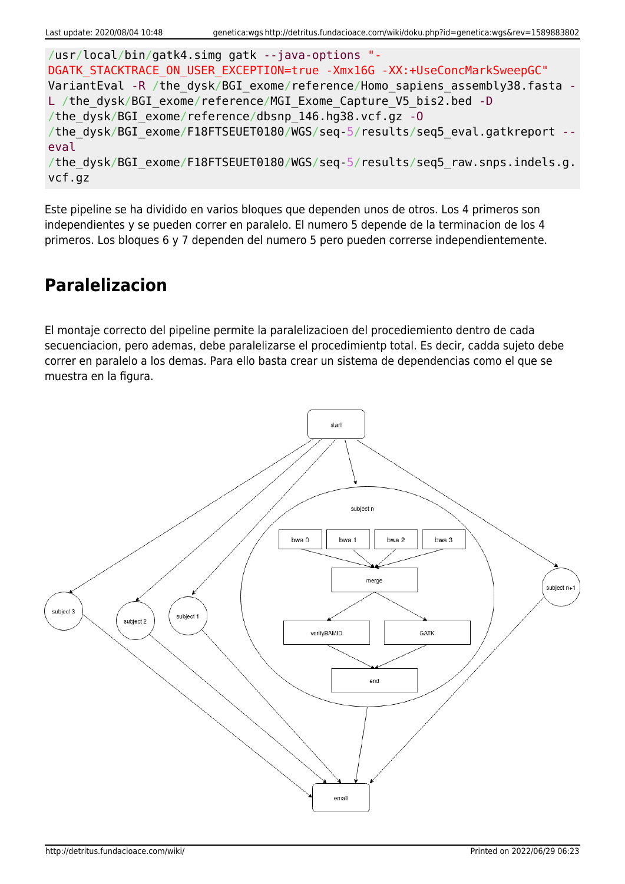```
/usr/local/bin/gatk4.simg gatk --java-options "-
DGATK STACKTRACE ON USER EXCEPTION=true -Xmx16G -XX:+UseConcMarkSweepGC"
VariantEval -R /the dysk/BGI exome/reference/Homo sapiens assembly38.fasta -
L /the dysk/BGI exome/reference/MGI Exome Capture V5 bis2.bed -D
/the_dysk/BGI_exome/reference/dbsnp_146.hg38.vcf.gz -O
/the dysk/BGI exome/F18FTSEUET0180/WGS/seq-5/results/seq5 eval.gatkreport --
eval
/the dysk/BGI exome/F18FTSEUET0180/WGS/seq-5/results/seq5 raw.snps.indels.g.
vcf.gz
```
Este pipeline se ha dividido en varios bloques que dependen unos de otros. Los 4 primeros son independientes y se pueden correr en paralelo. El numero 5 depende de la terminacion de los 4 primeros. Los bloques 6 y 7 dependen del numero 5 pero pueden correrse independientemente.

### **Paralelizacion**

El montaje correcto del pipeline permite la paralelizacioen del procediemiento dentro de cada secuenciacion, pero ademas, debe paralelizarse el procedimientp total. Es decir, cadda sujeto debe correr en paralelo a los demas. Para ello basta crear un sistema de dependencias como el que se muestra en la figura.

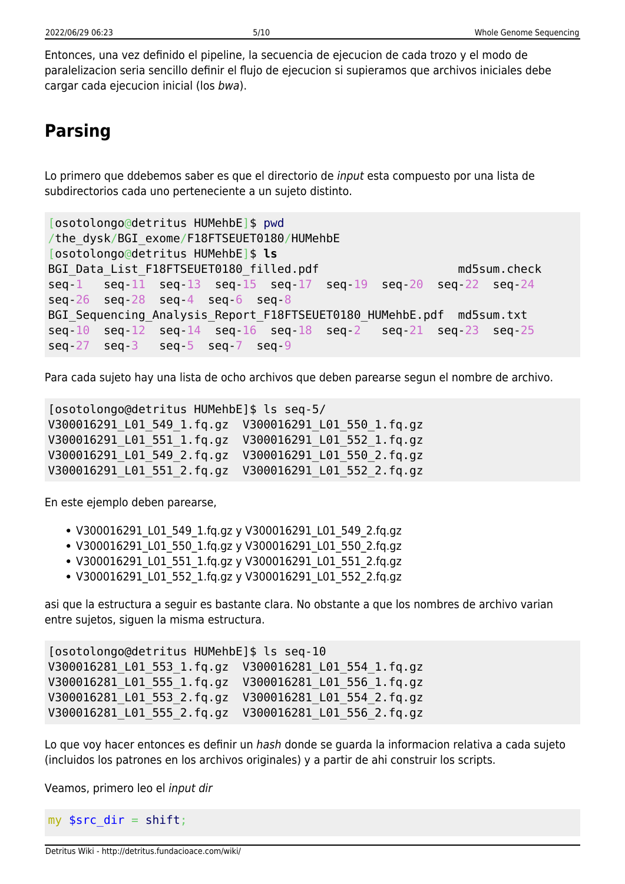Entonces, una vez definido el pipeline, la secuencia de ejecucion de cada trozo y el modo de paralelizacion seria sencillo definir el flujo de ejecucion si supieramos que archivos iniciales debe cargar cada ejecucion inicial (los bwa).

### **Parsing**

Lo primero que ddebemos saber es que el directorio de input esta compuesto por una lista de subdirectorios cada uno perteneciente a un sujeto distinto.

```
[osotolongo@detritus HUMehbE]$ pwd
/the_dysk/BGI_exome/F18FTSEUET0180/HUMehbE
[osotolongo@detritus HUMehbE]$ ls
BGI Data List F18FTSEUET0180 filled.pdf md5sum.check
seq-1 seq-11 seq-13 seq-15 seq-17 seq-19 seq-20 seq-22 seq-24
seq-26 seq-28 seq-4 seq-6 seq-8
BGI Sequencing Analysis Report F18FTSEUET0180 HUMehbE.pdf md5sum.txt
seq-10 seq-12 seq-14 seq-16 seq-18 seq-2 seq-21 seq-23 seq-25
seq-27 seq-3 seq-5 seq-7 seq-9
```
Para cada sujeto hay una lista de ocho archivos que deben parearse segun el nombre de archivo.

[osotolongo@detritus HUMehbE]\$ ls seq-5/ V300016291\_L01\_549\_1.fq.gz V300016291\_L01\_550\_1.fq.gz V300016291\_L01\_551\_1.fq.gz V300016291\_L01\_552\_1.fq.gz V300016291\_L01\_549\_2.fq.gz V300016291\_L01\_550\_2.fq.gz V300016291\_L01\_551\_2.fq.gz V300016291\_L01\_552\_2.fq.gz

En este ejemplo deben parearse,

- V300016291\_L01\_549\_1.fq.gz y V300016291\_L01\_549\_2.fq.gz
- V300016291 L01 550 1.fq.gz y V300016291 L01 550 2.fq.gz
- V300016291 L01 551 1.fq.gz y V300016291 L01 551 2.fq.gz
- V300016291\_L01\_552\_1.fq.gz y V300016291\_L01\_552\_2.fq.gz

asi que la estructura a seguir es bastante clara. No obstante a que los nombres de archivo varian entre sujetos, siguen la misma estructura.

```
[osotolongo@detritus HUMehbE]$ ls seq-10
V300016281_L01_553_1.fq.gz V300016281_L01_554_1.fq.gz
V300016281_L01_555_1.fq.gz V300016281_L01_556_1.fq.gz
V300016281_L01_553_2.fq.gz V300016281_L01_554_2.fq.gz
V300016281_L01_555_2.fq.gz V300016281_L01_556_2.fq.gz
```
Lo que voy hacer entonces es definir un hash donde se quarda la informacion relativa a cada sujeto (incluidos los patrones en los archivos originales) y a partir de ahi construir los scripts.

Veamos, primero leo el input dir

my  $\frac{1}{2}$  src\_dir = [shift;](http://perldoc.perl.org/functions/shift.html)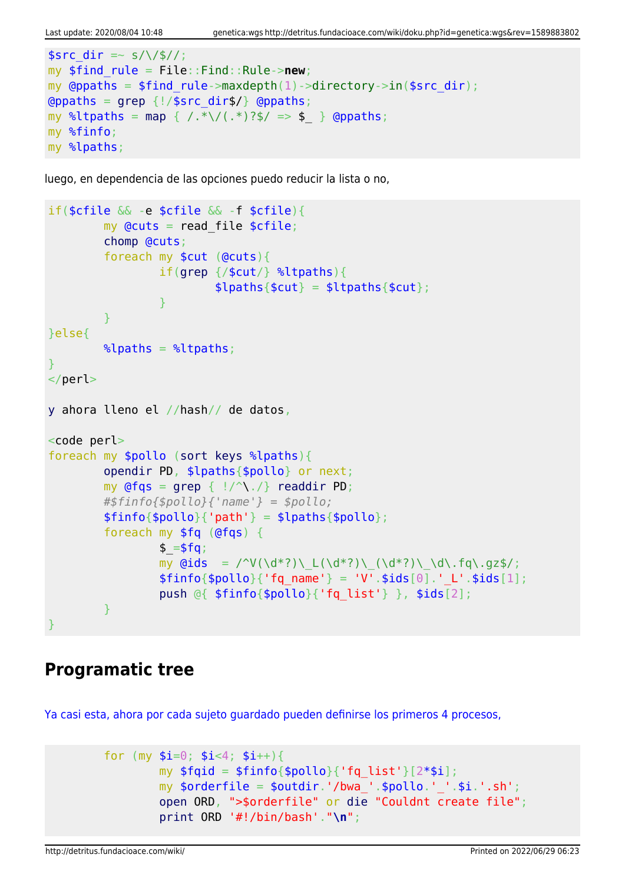```
ssrc dir =~ s/\/$//;
my $find_rule = File::Find::Rule->new;
my @ppaths = $find rule->maxdepth(1)->directory->in(%src dir);\alphagrep \{!/$src dir$/} \alpha (appaths;
map { /.*\/(.*)?$/ => $ } @ppaths;
my %finfo;
my %lpaths;
```
luego, en dependencia de las opciones puedo reducir la lista o no,

```
if($cfile && -e $cfile && -f $cfile){
         my Qcuts = read file scfile;
          chomp @cuts;
          foreach my $cut (@cuts){
                   if(grep {/$cut/} %ltpaths){
                           $lpaths{math;
and the state of the state of the state of the state of the state of the state of the state of the state of the
 }
}else{
         \lambdalpaths = \lambdaltpaths;
}
</perl>
y ahora lleno el //hash// de datos,
<code perl>
foreach my $pollo (sort keys %lpaths){
          opendir PD, $lpaths{$pollo} or next;
         my grep { |}/^{\wedge}readdir PD;
          #$finfo{$pollo}{'name'} = $pollo;
         $finfo{$pollo}{'parh'} = $lpaths{$pollo}; foreach my $fq (@fqs) {
                  $ = $fg;my \ddot{q}ids = /^V(\d*?)\_L(\d*?)\_(\d*?)\_\d\.fq\.gz$/;
                  $finfo{spollo}{'fq name'} = 'V'.$ids[0].' L'.$ids[1]; push @{ $finfo{$pollo}{'fq_list'} }, $ids[2];
 }
}
```
#### **Programatic tree**

[Ya casi esta, ahora por cada sujeto guardado pueden definirse los primeros 4 procesos,](#page--1-0)

```
for (my \sin=0; \sin<4; \sin+1}
         my $fqid = $finfo{$pollo}{'fg_list'}[2*$i];my \text{porderfile} = \text{poutdir.}'/\text{bwa}''.\text{pollo.}''.'.\text{si.}'.s''.\text{sh}'; open ORD, ">$orderfile" or die "Couldnt create file";
           print ORD '#!/bin/bash'."\n";
```
http://detritus.fundacioace.com/wiki/ Printed on 2022/06/29 06:23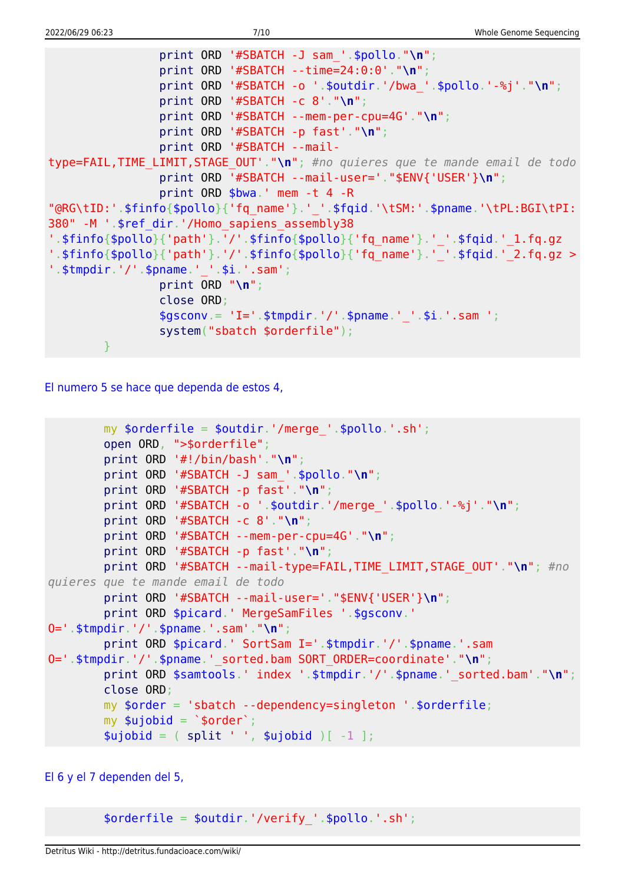```
 print ORD '#SBATCH -J sam_'.$pollo."\n";
                 print ORD '#SBATCH --time=24:0:0'."\n";
                 print ORD '#SBATCH -o '.$outdir.'/bwa_'.$pollo.'-%j'."\n";
                 print ORD '#SBATCH -c 8'."\n";
                 print ORD '#SBATCH --mem-per-cpu=4G'."\n";
                 print ORD '#SBATCH -p fast'."\n";
                 print ORD '#SBATCH --mail-
type=FAIL,TIME_LIMIT,STAGE_OUT'."\n"; #no quieres que te mande email de todo
                 print ORD '#SBATCH --mail-user='."$ENV{'USER'}\n";
                 print ORD $bwa.' mem -t 4 -R
"@RG\tID:'.$finfo{$pollo}{'fq_name'}.'_'.$fqid.'\tSM:'.$pname.'\tPL:BGI\tPI:
380" -M '.$ref_dir.'/Homo_sapiens_assembly38
'.$finfo{$pollo}{'path'}.'/'.$finfo{$pollo}{'fq_name'}.'_'.$fqid.'_1.fq.gz
'.$finfo{$pollo}{'path'}.'/'.$finfo{$pollo}{'fq_name'}.'\overline{\phantom{a}}'.$fqid.'2.fq.gz >
'.$tmpdir.'/'.$pname.' '.$i.'.sam';
                 print ORD "\n";
                 close ORD;
                $gsconv = 'I='. $tmpdir.'/'.$pname.''.§i.'sia" system("sbatch $orderfile");
 }
```
[El numero 5 se hace que dependa de estos 4,](#page--1-0)

```
my \text{sortederfile} = \text{south}.'/merge '.\text{spollo}.'.sh';
         open ORD, ">$orderfile";
         print ORD '#!/bin/bash'."\n";
         print ORD '#SBATCH -J sam_'.$pollo."\n";
         print ORD '#SBATCH -p fast'."\n";
         print ORD '#SBATCH -o '.$outdir.'/merge_'.$pollo.'-%j'."\n";
         print ORD '#SBATCH -c 8'."\n";
         print ORD '#SBATCH --mem-per-cpu=4G'."\n";
         print ORD '#SBATCH -p fast'."\n";
         print ORD '#SBATCH --mail-type=FAIL,TIME_LIMIT,STAGE_OUT'."\n"; #no
quieres que te mande email de todo
         print ORD '#SBATCH --mail-user='."$ENV{'USER'}\n";
        print ORD $picard.' MergeSamFiles '.$gsconv.'
O='.$tmpdir.'/'.$pname.'.sam'."\n";
         print ORD $picard.' SortSam I='.$tmpdir.'/'.$pname.'.sam
O='.$tmpdir.'/'.$pname.'_sorted.bam SORT_ORDER=coordinate'."\n";
        print ORD $samtools.' index '.$tmpdir.'/'.$pname.' sorted.bam'."\n";
         close ORD;
         my $order = 'sbatch --dependency=singleton '.$orderfile;
        my \text{subject} = \text{`sorder'};
        split ' ', $ujobid )[-1 ];
```
#### [El 6 y el 7 dependen del 5,](#page--1-0)

\$orderfile = \$outdir.'/verify\_'.\$pollo.'.sh';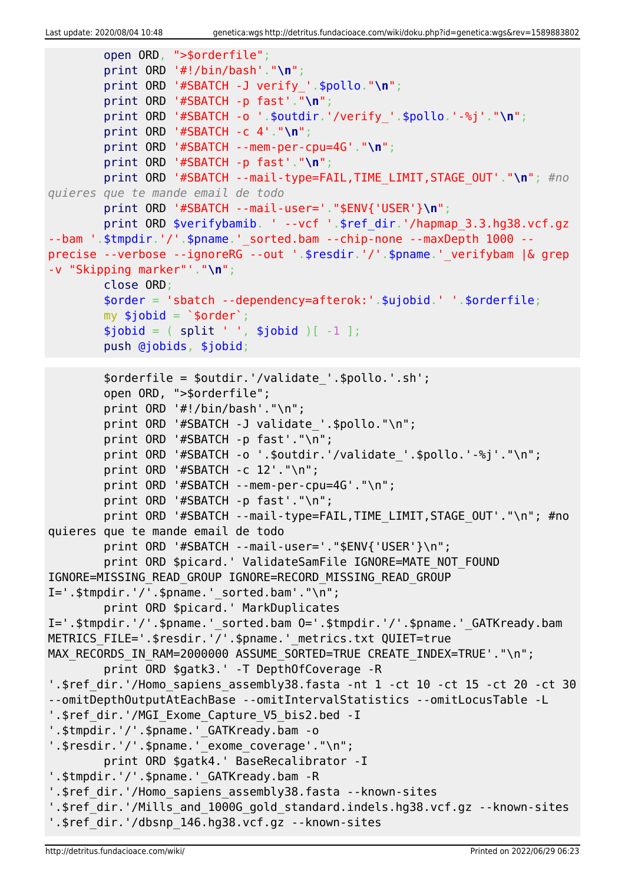```
 open ORD, ">$orderfile";
         print ORD '#!/bin/bash'."\n";
         print ORD '#SBATCH -J verify_'.$pollo."\n";
         print ORD '#SBATCH -p fast'."\n";
         print ORD '#SBATCH -o '.$outdir.'/verify_'.$pollo.'-%j'."\n";
         print ORD '#SBATCH -c 4'."\n";
         print ORD '#SBATCH --mem-per-cpu=4G'."\n";
         print ORD '#SBATCH -p fast'."\n";
         print ORD '#SBATCH --mail-type=FAIL,TIME_LIMIT,STAGE_OUT'."\n"; #no
quieres que te mande email de todo
         print ORD '#SBATCH --mail-user='."$ENV{'USER'}\n";
        print ORD $verifybamib. ' --vcf '.$ref dir.'/hapmap 3.3.hg38.vcf.gz
--bam '.$tmpdir.'/'.$pname.'_sorted.bam --chip-none --maxDepth 1000 --
precise --verbose --ignoreRG --out '.$resdir.'/'.$pname.' verifybam |& grep
-v "Skipping marker"'."\n";
         close ORD;
         $order = 'sbatch --dependency=afterok:'.$ujobid.' '.$orderfile;
        my $jobid = \sqrt{5}order\sqrt{7};
        split ' ', $jobid )[-1 ]; push @jobids, $jobid;
        \%orderfile = \%outdir.'/validate '.\%pollo.'.sh';
         open ORD, ">$orderfile";
        print ORD '#!/bin/bash'."\n";
         print ORD '#SBATCH -J validate_'.$pollo."\n";
         print ORD '#SBATCH -p fast'."\n";
        print ORD '#SBATCH -o '.$outdir.'/validate '.$pollo.'-%j'."\n";
         print ORD '#SBATCH -c 12'."\n";
        print ORD '#SBATCH --mem-per-cpu=4G'."\n";
        print ORD '#SBATCH -p fast'."\n";
        print ORD '#SBATCH --mail-type=FAIL, TIME LIMIT, STAGE OUT'."\n"; #no
quieres que te mande email de todo
        print ORD '#SBATCH --mail-user='."$ENV{'USER'}\n";
         print ORD $picard.' ValidateSamFile IGNORE=MATE_NOT_FOUND
IGNORE=MISSING_READ_GROUP IGNORE=RECORD_MISSING_READ_GROUP
I=' .$tmpdir.'/'.$pname.' sorted.bam'."\n" print ORD $picard.' MarkDuplicates
I='.$tmpdir.'/'.$pname.'_sorted.bam O='.$tmpdir.'/'.$pname.'_GATKready.bam
METRICS FILE='.$resdir.'/'.$pname.' metrics.txt QUIET=true
MAX RECORDS IN RAM=2000000 ASSUME SORTED=TRUE CREATE INDEX=TRUE'."\n";
         print ORD $gatk3.' -T DepthOfCoverage -R
'.$ref dir.'/Homo sapiens assembly38.fasta -nt 1 -ct 10 -ct 15 -ct 20 -ct 30
--omitDepthOutputAtEachBase --omitIntervalStatistics --omitLocusTable -L
'.$ref dir.'/MGI Exome Capture V5 bis2.bed -I
'.$tmpdir.'/'.$pname.' GATKready.bam -o
'.$resdir.'/'.$pname.' exome coverage'."\n";
         print ORD $gatk4.' BaseRecalibrator -I
'.$tmpdir.'/'.$pname.' GATKready.bam -R
'.$ref dir.'/Homo sapiens assembly38.fasta --known-sites
'.$ref_dir.'/Mills_and_1000G_gold_standard.indels.hg38.vcf.gz --known-sites
'.$ref_dir.'/dbsnp_146.hg38.vcf.gz --known-sites
```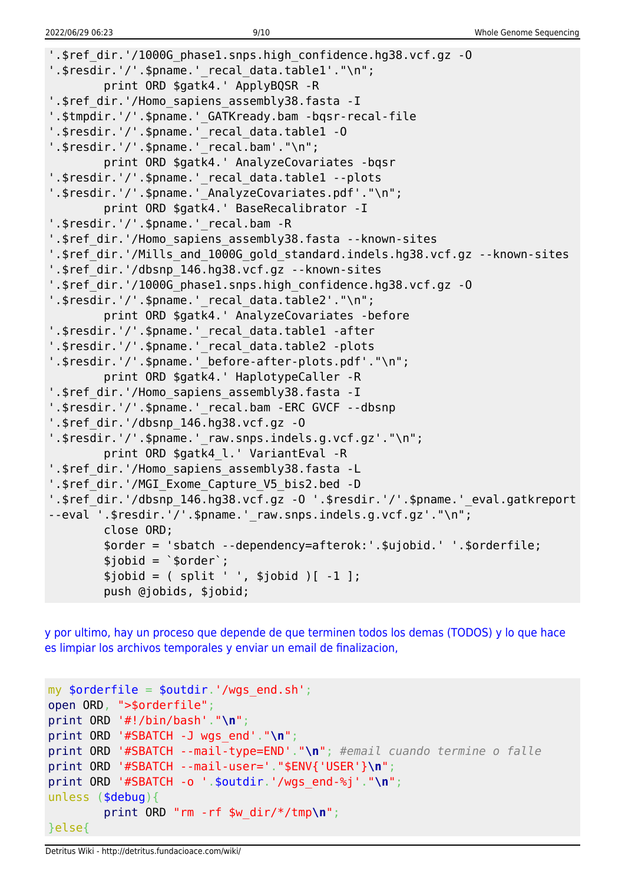```
'.$ref_dir.'/1000G_phase1.snps.high_confidence.hg38.vcf.gz -O
'.$resdir.'/'.$pname.'_recal_data.table1'."\n";
         print ORD $gatk4.' ApplyBQSR -R
'.$ref dir.'/Homo sapiens assembly38.fasta -I
'.$tmpdir.'/'.$pname.'_GATKready.bam -bqsr-recal-file
'.$resdir.'/'.$pname.'_recal_data.table1 -O
'.$resdir.'/'.$pname.'_recal.bam'."\n";
         print ORD $gatk4.' AnalyzeCovariates -bqsr
'.$resdir.'/'.$pname.' recal data.table1 --plots
'.$resdir.'/'.$pname.'_AnalyzeCovariates.pdf'."\n";
         print ORD $gatk4.' BaseRecalibrator -I
'.$resdir.'/'.$pname.'_recal.bam -R
'.$ref dir.'/Homo sapiens assembly38.fasta --known-sites
'.$ref dir.'/Mills and 1000G gold standard.indels.hg38.vcf.gz --known-sites
'.$ref_dir.'/dbsnp_146.hg38.vcf.gz --known-sites
'.$ref_dir.'/1000G_phase1.snps.high_confidence.hg38.vcf.gz -O
'.$resdir.'/'.$pname.'_recal_data.table2'."\n";
         print ORD $gatk4.' AnalyzeCovariates -before
'.$resdir.'/'.$pname.' recal data.table1 -after
'.$resdir.'/'.$pname.'_recal_data.table2 -plots
'.$resdir.'/'.$pname.'_before-after-plots.pdf'."\n";
         print ORD $gatk4.' HaplotypeCaller -R
'.$ref dir.'/Homo sapiens assembly38.fasta -I
'.$resdir.'/'.$pname.' recal.bam -ERC GVCF --dbsnp
'.$ref_dir.'/dbsnp_146.hg38.vcf.gz -O
'.$resdir.'/'.$pname.' raw.snps.indels.g.vcf.gz'."\n";
        print ORD $gatk4_l.' VariantEval -R
'.$ref_dir.'/Homo_sapiens_assembly38.fasta -L
'.$ref dir.'/MGI Exome Capture V5 bis2.bed -D
'.$ref dir.'/dbsnp 146.hg38.vcf.gz -0 '.$resdir.'/'.$pname.'_eval.gatkreport
--eval '.$resdir.'/'.$pname.' raw.snps.indels.g.vcf.gz'."\n";
         close ORD;
         $order = 'sbatch --dependency=afterok:'.$ujobid.' '.$orderfile;
        $jobid = 'border';$jobid = ( split ' ', $jobid )[-1 ]; push @jobids, $jobid;
```
[y por ultimo, hay un proceso que depende de que terminen todos los demas \(TODOS\) y lo que hace](#page--1-0) [es limpiar los archivos temporales y enviar un email de finalizacion,](#page--1-0)

```
my $orderfile = $outdir.'/wgs_end.sh';
open ORD, ">$orderfile";
print ORD '#!/bin/bash'."\n";
print ORD '#SBATCH -J wgs_end'."\n";
print ORD '#SBATCH --mail-type=END'."\n"; #email cuando termine o falle
print ORD '#SBATCH --mail-user='."$ENV{'USER'}\n";
print ORD '#SBATCH -o '.$outdir.'/wgs_end-%j'."\n";
unless ($debug){
         print ORD "rm -rf $w_dir/*/tmp\n";
}else{
```